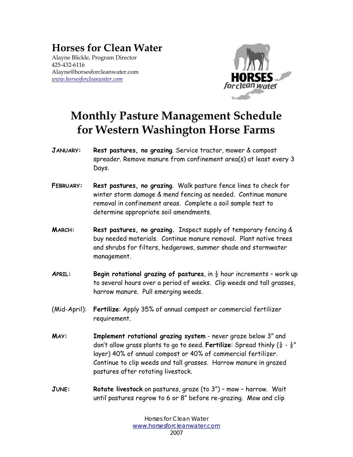## **Horses for Clean Water**

Alayne Blickle, Program Director 425-432-6116 Alayne@horsesforcleanwater.com *www.horsesforcleanwater.com*



## **Monthly Pasture Management Schedule for Western Washington Horse Farms**

- **JANUARY: Rest pastures, no grazing**. Service tractor, mower & compost spreader. Remove manure from confinement area(s) at least every 3 Days.
- **FEBRUARY: Rest pastures, no grazing**. Walk pasture fence lines to check for winter storm damage & mend fencing as needed. Continue manure removal in confinement areas. Complete a soil sample test to determine appropriate soil amendments.
- **MARCH: Rest pastures, no grazing.** Inspect supply of temporary fencing & buy needed materials. Continue manure removal. Plant native trees and shrubs for filters, hedgerows, summer shade and stormwater management.
- **APRIL: Begin rotational grazing of pastures**, in ½ hour increments work up to several hours over a period of weeks. Clip weeds and tall grasses, harrow manure. Pull emerging weeds.
- (Mid-April): **Fertilize**: Apply 35% of annual compost or commercial fertilizer requirement.
- **MAY: Implement rotational grazing system** never graze below 3" and don't allow grass plants to go to seed. **Fertilize**: Spread thinly  $(\frac{1}{4} - \frac{1}{2}^u)$ layer) 40% of annual compost or 40% of commercial fertilizer. Continue to clip weeds and tall grasses. Harrow manure in grazed pastures after rotating livestock.
- **JUNE: Rotate livestock** on pastures, graze (to 3") mow harrow. Wait until pastures regrow to 6 or 8" before re-grazing. Mow and clip